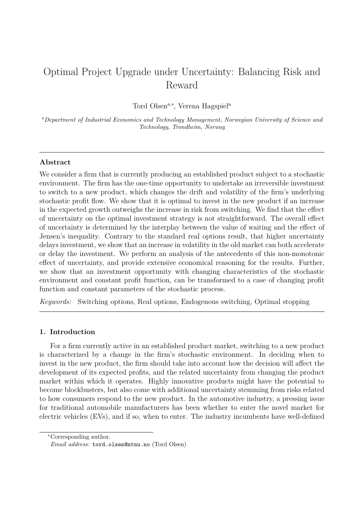# Optimal Project Upgrade under Uncertainty: Balancing Risk and Reward

Tord Olsen<sup>a,\*</sup>, Verena Hagspiel<sup>a</sup>

*<sup>a</sup>Department of Industrial Economics and Technology Management, Norwegian University of Science and Technology, Trondheim, Norway*

# **Abstract**

We consider a firm that is currently producing an established product subject to a stochastic environment. The firm has the one-time opportunity to undertake an irreversible investment to switch to a new product, which changes the drift and volatility of the firm's underlying stochastic profit flow. We show that it is optimal to invest in the new product if an increase in the expected growth outweighs the increase in risk from switching. We find that the effect of uncertainty on the optimal investment strategy is not straightforward. The overall effect of uncertainty is determined by the interplay between the value of waiting and the effect of Jensen's inequality. Contrary to the standard real options result, that higher uncertainty delays investment, we show that an increase in volatility in the old market can both accelerate or delay the investment. We perform an analysis of the antecedents of this non-monotonic effect of uncertainty, and provide extensive economical reasoning for the results. Further, we show that an investment opportunity with changing characteristics of the stochastic environment and constant profit function, can be transformed to a case of changing profit function and constant parameters of the stochastic process.

*Keywords:* Switching options, Real options, Endogenous switching, Optimal stopping

# **1. Introduction**

For a firm currently active in an established product market, switching to a new product is characterized by a change in the firm's stochastic environment. In deciding when to invest in the new product, the firm should take into account how the decision will affect the development of its expected profits, and the related uncertainty from changing the product market within which it operates. Highly innovative products might have the potential to become blockbusters, but also come with additional uncertainty stemming from risks related to how consumers respond to the new product. In the automotive industry, a pressing issue for traditional automobile manufacturers has been whether to enter the novel market for electric vehicles (EVs), and if so, when to enter. The industry incumbents have well-defined

<sup>∗</sup>Corresponding author.

*Email address:* tord.olsen@ntnu.no (Tord Olsen)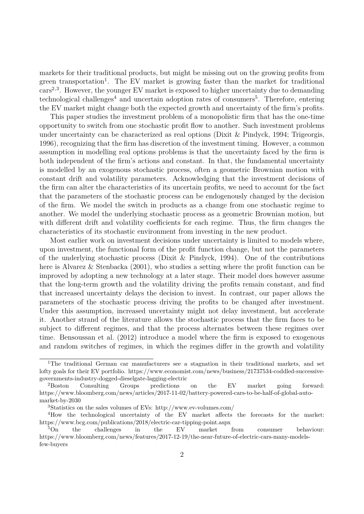markets for their traditional products, but might be missing out on the growing profits from green transportation<sup>1</sup>. The EV market is growing faster than the market for traditional cars<sup>2,3</sup>. However, the younger EV market is exposed to higher uncertainty due to demanding technological challenges<sup>4</sup> and uncertain adoption rates of consumers<sup>5</sup>. Therefore, entering the EV market might change both the expected growth and uncertainty of the firm's profits.

This paper studies the investment problem of a monopolistic firm that has the one-time opportunity to switch from one stochastic profit flow to another. Such investment problems under uncertainty can be characterized as real options (Dixit & Pindyck, 1994; Trigeorgis, 1996), recognizing that the firm has discretion of the investment timing. However, a common assumption in modelling real options problems is that the uncertainty faced by the firm is both independent of the firm's actions and constant. In that, the fundamental uncertainty is modelled by an exogenous stochastic process, often a geometric Brownian motion with constant drift and volatility parameters. Acknowledging that the investment decisions of the firm can alter the characteristics of its uncertain profits, we need to account for the fact that the parameters of the stochastic process can be endogenously changed by the decision of the firm. We model the switch in products as a change from one stochastic regime to another. We model the underlying stochastic process as a geometric Brownian motion, but with different drift and volatility coefficients for each regime. Thus, the firm changes the characteristics of its stochastic environment from investing in the new product.

Most earlier work on investment decisions under uncertainty is limited to models where, upon investment, the functional form of the profit function change, but not the parameters of the underlying stochastic process (Dixit & Pindyck, 1994). One of the contributions here is Alvarez & Stenbacka (2001), who studies a setting where the profit function can be improved by adopting a new technology at a later stage. Their model does however assume that the long-term growth and the volatility driving the profits remain constant, and find that increased uncertainty delays the decision to invest. In contrast, our paper allows the parameters of the stochastic process driving the profits to be changed after investment. Under this assumption, increased uncertainty might not delay investment, but accelerate it. Another strand of the literature allows the stochastic process that the firm faces to be subject to different regimes, and that the process alternates between these regimes over time. Bensoussan et al. (2012) introduce a model where the firm is exposed to exogenous and random switches of regimes, in which the regimes differ in the growth and volatility

<sup>&</sup>lt;sup>1</sup>The traditional German car manufacturers see a stagnation in their traditional markets, and set lofty goals for their EV portfolio. https://www.economist.com/news/business/21737534-coddled-successivegovernments-industry-dogged-dieselgate-lagging-electric

<sup>&</sup>lt;sup>2</sup>Boston Consulting Groups predictions on the EV market going forward: https://www.bloomberg.com/news/articles/2017-11-02/battery-powered-cars-to-be-half-of-global-automarket-by-2030

<sup>3</sup>Statistics on the sales volumes of EVs: http://www.ev-volumes.com/

<sup>4</sup>How the technological uncertainty of the EV market affects the forecasts for the market: https://www.bcg.com/publications/2018/electric-car-tipping-point.aspx

<sup>&</sup>lt;sup>5</sup>On the challenges in the EV market from consumer behaviour: https://www.bloomberg.com/news/features/2017-12-19/the-near-future-of-electric-cars-many-modelsfew-buyers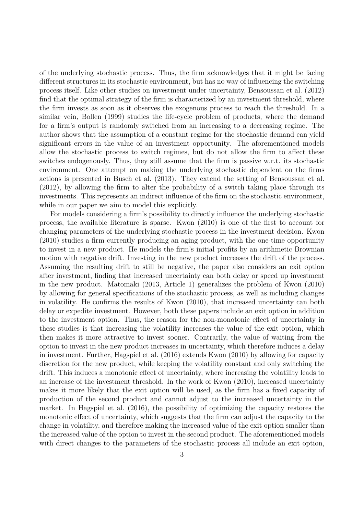of the underlying stochastic process. Thus, the firm acknowledges that it might be facing different structures in its stochastic environment, but has no way of influencing the switching process itself. Like other studies on investment under uncertainty, Bensoussan et al. (2012) find that the optimal strategy of the firm is characterized by an investment threshold, where the firm invests as soon as it observes the exogenous process to reach the threshold. In a similar vein, Bollen (1999) studies the life-cycle problem of products, where the demand for a firm's output is randomly switched from an increasing to a decreasing regime. The author shows that the assumption of a constant regime for the stochastic demand can yield significant errors in the value of an investment opportunity. The aforementioned models allow the stochastic process to switch regimes, but do not allow the firm to affect these switches endogenously. Thus, they still assume that the firm is passive w.r.t. its stochastic environment. One attempt on making the underlying stochastic dependent on the firms actions is presented in Busch et al. (2013). They extend the setting of Bensoussan et al. (2012), by allowing the firm to alter the probability of a switch taking place through its investments. This represents an indirect influence of the firm on the stochastic environment, while in our paper we aim to model this explicitly.

For models considering a firm's possibility to directly influence the underlying stochastic process, the available literature is sparse. Kwon (2010) is one of the first to account for changing parameters of the underlying stochastic process in the investment decision. Kwon (2010) studies a firm currently producing an aging product, with the one-time opportunity to invest in a new product. He models the firm's initial profits by an arithmetic Brownian motion with negative drift. Investing in the new product increases the drift of the process. Assuming the resulting drift to still be negative, the paper also considers an exit option after investment, finding that increased uncertainty can both delay or speed up investment in the new product. Matomäki (2013, Article 1) generalizes the problem of Kwon (2010) by allowing for general specifications of the stochastic process, as well as including changes in volatility. He confirms the results of Kwon (2010), that increased uncertainty can both delay or expedite investment. However, both these papers include an exit option in addition to the investment option. Thus, the reason for the non-monotonic effect of uncertainty in these studies is that increasing the volatility increases the value of the exit option, which then makes it more attractive to invest sooner. Contrarily, the value of waiting from the option to invest in the new product increases in uncertainty, which therefore induces a delay in investment. Further, Hagspiel et al. (2016) extends Kwon (2010) by allowing for capacity discretion for the new product, while keeping the volatility constant and only switching the drift. This induces a monotonic effect of uncertainty, where increasing the volatility leads to an increase of the investment threshold. In the work of Kwon (2010), increased uncertainty makes it more likely that the exit option will be used, as the firm has a fixed capacity of production of the second product and cannot adjust to the increased uncertainty in the market. In Hagspiel et al. (2016), the possibility of optimizing the capacity restores the monotonic effect of uncertainty, which suggests that the firm can adjust the capacity to the change in volatility, and therefore making the increased value of the exit option smaller than the increased value of the option to invest in the second product. The aforementioned models with direct changes to the parameters of the stochastic process all include an exit option,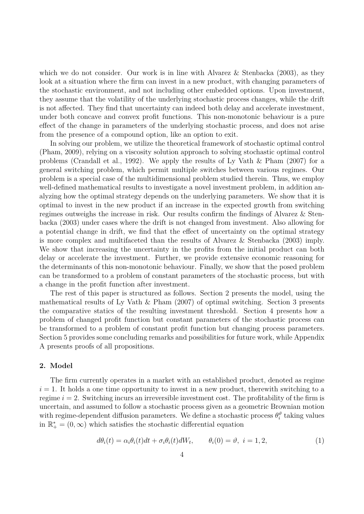which we do not consider. Our work is in line with Alvarez & Stenbacka (2003), as they look at a situation where the firm can invest in a new product, with changing parameters of the stochastic environment, and not including other embedded options. Upon investment, they assume that the volatility of the underlying stochastic process changes, while the drift is not affected. They find that uncertainty can indeed both delay and accelerate investment, under both concave and convex profit functions. This non-monotonic behaviour is a pure effect of the change in parameters of the underlying stochastic process, and does not arise from the presence of a compound option, like an option to exit.

In solving our problem, we utilize the theoretical framework of stochastic optimal control (Pham, 2009), relying on a viscosity solution approach to solving stochastic optimal control problems (Crandall et al., 1992). We apply the results of Ly Vath & Pham (2007) for a general switching problem, which permit multiple switches between various regimes. Our problem is a special case of the multidimensional problem studied therein. Thus, we employ well-defined mathematical results to investigate a novel investment problem, in addition analyzing how the optimal strategy depends on the underlying parameters. We show that it is optimal to invest in the new product if an increase in the expected growth from switching regimes outweighs the increase in risk. Our results confirm the findings of Alvarez & Stenbacka (2003) under cases where the drift is not changed from investment. Also allowing for a potential change in drift, we find that the effect of uncertainty on the optimal strategy is more complex and multifaceted than the results of Alvarez & Stenbacka (2003) imply. We show that increasing the uncertainty in the profits from the initial product can both delay or accelerate the investment. Further, we provide extensive economic reasoning for the determinants of this non-monotonic behaviour. Finally, we show that the posed problem can be transformed to a problem of constant parameters of the stochastic process, but with a change in the profit function after investment.

The rest of this paper is structured as follows. Section 2 presents the model, using the mathematical results of Ly Vath & Pham (2007) of optimal switching. Section 3 presents the comparative statics of the resulting investment threshold. Section 4 presents how a problem of changed profit function but constant parameters of the stochastic process can be transformed to a problem of constant profit function but changing process parameters. Section 5 provides some concluding remarks and possibilities for future work, while Appendix A presents proofs of all propositions.

# **2. Model**

The firm currently operates in a market with an established product, denoted as regime  $i = 1$ . It holds a one time opportunity to invest in a new product, therewith switching to a regime  $i = 2$ . Switching incurs an irreversible investment cost. The profitability of the firm is uncertain, and assumed to follow a stochastic process given as a geometric Brownian motion with regime-dependent diffusion parameters. We define a stochastic process  $\theta_i^{\vartheta}$  taking values in  $\mathbb{R}^*_+ = (0, \infty)$  which satisfies the stochastic differential equation

$$
d\theta_i(t) = \alpha_i \theta_i(t)dt + \sigma_i \theta_i(t)dW_t, \qquad \theta_i(0) = \vartheta, \quad i = 1, 2,
$$
\n<sup>(1)</sup>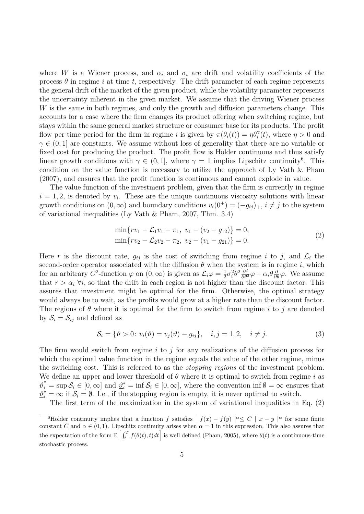where *W* is a Wiener process, and  $\alpha_i$  and  $\sigma_i$  are drift and volatility coefficients of the process  $\theta$  in regime *i* at time *t*, respectively. The drift parameter of each regime represents the general drift of the market of the given product, while the volatility parameter represents the uncertainty inherent in the given market. We assume that the driving Wiener process *W* is the same in both regimes, and only the growth and diffusion parameters change. This accounts for a case where the firm changes its product offering when switching regime, but stays within the same general market structure or consumer base for its products. The profit flow per time period for the firm in regime *i* is given by  $\pi(\theta_i(t)) = \eta \theta_i^{\gamma}(t)$ , where  $\eta > 0$  and  $\gamma \in (0,1]$  are constants. We assume without loss of generality that there are no variable or fixed cost for producing the product. The profit flow is Hölder continuous and thus satisfy linear growth conditions with  $\gamma \in (0,1]$ , where  $\gamma = 1$  implies Lipschitz continuity<sup>6</sup>. This condition on the value function is necessary to utilize the approach of Ly Vath & Pham (2007), and ensures that the profit function is continuous and cannot explode in value.

The value function of the investment problem, given that the firm is currently in regime  $i = 1, 2$ , is denoted by  $v_i$ . These are the unique continuous viscosity solutions with linear growth conditions on  $(0, \infty)$  and boundary conditions  $v_i(0^+) = (-g_{ij})_+, i \neq j$  to the system of variational inequalities (Ly Vath & Pham, 2007, Thm. 3.4)

$$
\min\{rv_1 - \mathcal{L}_1v_1 - \pi_1, v_1 - (v_2 - g_{12})\} = 0,
$$
  
\n
$$
\min\{rv_2 - \mathcal{L}_2v_2 - \pi_2, v_2 - (v_1 - g_{21})\} = 0.
$$
\n(2)

Here r is the discount rate,  $g_{ij}$  is the cost of switching from regime *i* to *j*, and  $\mathcal{L}_i$  the second-order operator associated with the diffusion  $\theta$  when the system is in regime *i*, which for an arbitrary  $C^2$ -function  $\varphi$  on  $(0, \infty)$  is given as  $\mathcal{L}_i \varphi = \frac{1}{2}$  $\frac{1}{2}\sigma_i^2\theta^2\frac{\partial^2}{\partial\theta^2}\varphi + \alpha_i\theta\frac{\partial}{\partial\theta}\varphi$ . We assume that  $r > \alpha_i \forall i$ , so that the drift in each region is not higher than the discount factor. This assures that investment might be optimal for the firm. Otherwise, the optimal strategy would always be to wait, as the profits would grow at a higher rate than the discount factor. The regions of  $\theta$  where it is optimal for the firm to switch from regime *i* to *j* are denoted by  $S_i = S_{ij}$  and defined as

$$
S_i = \{ \vartheta > 0 \colon v_i(\vartheta) = v_j(\vartheta) - g_{ij} \}, \quad i, j = 1, 2, \quad i \neq j. \tag{3}
$$

The firm would switch from regime *i* to *j* for any realizations of the diffusion process for which the optimal value function in the regime equals the value of the other regime, minus the switching cost. This is refereed to as the *stopping regions* of the investment problem. We define an upper and lower threshold of  $\theta$  where it is optimal to switch from regime *i* as  $\overline{\vartheta}_i^* = \sup \mathcal{S}_i \in [0, \infty]$  and  $\underline{\vartheta}_i^* = \inf \mathcal{S}_i \in [0, \infty]$ , where the convention inf  $\varnothing = \infty$  ensures that  $\underline{\vartheta}_i^* = \infty$  if  $S_i = \emptyset$ . I.e., if the stopping region is empty, it is never optimal to switch.

The first term of the maximization in the system of variational inequalities in Eq. (2)

<sup>6</sup>Hölder continuity implies that a function *f* satisfies  $| f(x) - f(y) |^{\alpha} \leq C | x - y |^{\alpha}$  for some finite constant *C* and  $\alpha \in (0,1)$ . Lipschitz continuity arises when  $\alpha = 1$  in this expression. This also assures that the expectation of the form  $\mathbb{E}\left[\int_t^T f(\theta(t), t)dt\right]$  is well defined (Pham, 2005), where  $\theta(t)$  is a continuous-time stochastic process.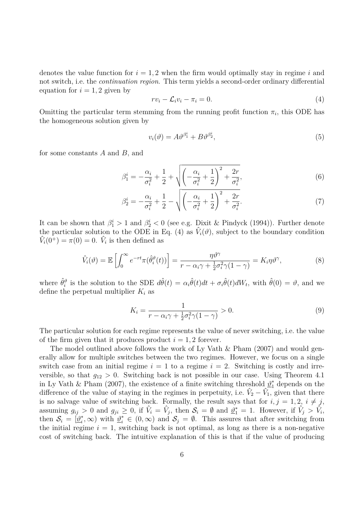denotes the value function for  $i = 1, 2$  when the firm would optimally stay in regime  $i$  and not switch, i.e. the *continuation region*. This term yields a second-order ordinary differential equation for  $i = 1, 2$  given by

$$
rv_i - \mathcal{L}_i v_i - \pi_i = 0. \tag{4}
$$

Omitting the particular term stemming from the running profit function  $\pi_i$ , this ODE has the homogeneous solution given by

$$
v_i(\vartheta) = A\vartheta^{\beta_1^i} + B\vartheta^{\beta_2^i},\tag{5}
$$

for some constants *A* and *B*, and

$$
\beta_1^i = -\frac{\alpha_i}{\sigma_i^2} + \frac{1}{2} + \sqrt{\left(-\frac{\alpha_i}{\sigma_i^2} + \frac{1}{2}\right)^2 + \frac{2r}{\sigma_i^2}},\tag{6}
$$

$$
\beta_2^i = -\frac{\alpha_i}{\sigma_i^2} + \frac{1}{2} - \sqrt{\left(-\frac{\alpha_i}{\sigma_i^2} + \frac{1}{2}\right)^2 + \frac{2r}{\sigma_i^2}}.
$$
\n(7)

It can be shown that  $\beta_1^i > 1$  and  $\beta_2^i < 0$  (see e.g. Dixit & Pindyck (1994)). Further denote the particular solution to the ODE in Eq. (4) as  $\hat{V}_i(\vartheta)$ , subject to the boundary condition  $\hat{V}_i(0^+) = \pi(0) = 0$ .  $\hat{V}_i$  is then defined as

$$
\hat{V}_i(\vartheta) = \mathbb{E}\left[\int_0^\infty e^{-rt}\pi(\hat{\theta}_i^{\vartheta}(t))\right] = \frac{\eta\vartheta^{\gamma}}{r - \alpha_i\gamma + \frac{1}{2}\sigma_i^2\gamma(1-\gamma)} = K_i\eta\vartheta^{\gamma},\tag{8}
$$

where  $\hat{\theta}_i^{\vartheta}$  is the solution to the SDE  $d\hat{\theta}(t) = \alpha_i \hat{\theta}(t)dt + \sigma_i \hat{\theta}(t)dW_t$ , with  $\hat{\theta}(0) = \vartheta$ , and we define the perpetual multiplier  $K_i$  as

$$
K_i = \frac{1}{r - \alpha_i \gamma + \frac{1}{2} \sigma_i^2 \gamma (1 - \gamma)} > 0.
$$
\n(9)

The particular solution for each regime represents the value of never switching, i.e. the value of the firm given that it produces product  $i = 1, 2$  forever.

The model outlined above follows the work of Ly Vath & Pham (2007) and would generally allow for multiple switches between the two regimes. However, we focus on a single switch case from an initial regime  $i = 1$  to a regime  $i = 2$ . Switching is costly and irreversible, so that  $g_{12} > 0$ . Switching back is not possible in our case. Using Theorem 4.1 in Ly Vath & Pham (2007), the existence of a finite switching threshold  $\mathcal{Q}_1^*$  depends on the difference of the value of staying in the regimes in perpetuity, i.e.  $\hat{V}_2 - \hat{V}_1$ , given that there is no salvage value of switching back. Formally, the result says that for  $i, j = 1, 2, i \neq j$ , assuming  $g_{ij} > 0$  and  $g_{ji} \geq 0$ , if  $\hat{V}_i = \hat{V}_j$ , then  $\mathcal{S}_i = \emptyset$  and  $\underline{\vartheta}_1^* = 1$ . However, if  $\hat{V}_j > \hat{V}_i$ , then  $S_i = [\underline{\vartheta}_i^*]$ <sup>\*</sup><sub>i</sub>, ∞) with  $\mathcal{Q}_i^* \in (0, \infty)$  and  $\mathcal{S}_j = \emptyset$ . This assures that after switching from the initial regime  $i = 1$ , switching back is not optimal, as long as there is a non-negative cost of switching back. The intuitive explanation of this is that if the value of producing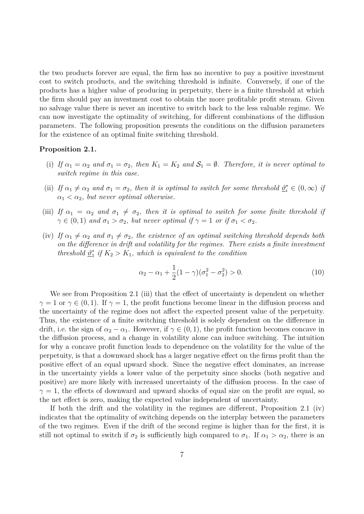the two products forever are equal, the firm has no incentive to pay a positive investment cost to switch products, and the switching threshold is infinite. Conversely, if one of the products has a higher value of producing in perpetuity, there is a finite threshold at which the firm should pay an investment cost to obtain the more profitable profit stream. Given no salvage value there is never an incentive to switch back to the less valuable regime. We can now investigate the optimality of switching, for different combinations of the diffusion parameters. The following proposition presents the conditions on the diffusion parameters for the existence of an optimal finite switching threshold.

# **Proposition 2.1.**

- (i) If  $\alpha_1 = \alpha_2$  and  $\sigma_1 = \sigma_2$ , then  $K_1 = K_2$  and  $S_1 = \emptyset$ . Therefore, it is never optimal to *switch regime in this case.*
- (ii) *If*  $\alpha_1 \neq \alpha_2$  *and*  $\sigma_1 = \sigma_2$ , then it is optimal to switch for some threshold  $\underline{\vartheta}_i^* \in (0, \infty)$  *if*  $\alpha_1 < \alpha_2$ , but never optimal otherwise.
- (iii) If  $\alpha_1 = \alpha_2$  and  $\sigma_1 \neq \sigma_2$ , then it is optimal to switch for some finite threshold if  $\gamma \in (0,1)$  *and*  $\sigma_1 > \sigma_2$ *, but never optimal if*  $\gamma = 1$  *or if*  $\sigma_1 < \sigma_2$ *.*
- (iv) If  $\alpha_1 \neq \alpha_2$  and  $\sigma_1 \neq \sigma_2$ , the existence of an optimal switching threshold depends both *on the difference in drift and volatility for the regimes. There exists a finite investment threshold*  $\underline{\vartheta}^*_1$  $\frac{1}{1}$  *if*  $K_2 > K_1$ *, which is equivalent to the condition*

$$
\alpha_2 - \alpha_1 + \frac{1}{2}(1 - \gamma)(\sigma_1^2 - \sigma_2^2) > 0.
$$
 (10)

We see from Proposition 2.1 (iii) that the effect of uncertainty is dependent on whether  $\gamma = 1$  or  $\gamma \in (0, 1)$ . If  $\gamma = 1$ , the profit functions become linear in the diffusion process and the uncertainty of the regime does not affect the expected present value of the perpetuity. Thus, the existence of a finite switching threshold is solely dependent on the difference in drift, i.e. the sign of  $\alpha_2 - \alpha_1$ . However, if  $\gamma \in (0,1)$ , the profit function becomes concave in the diffusion process, and a change in volatility alone can induce switching. The intuition for why a concave profit function leads to dependence on the volatility for the value of the perpetuity, is that a downward shock has a larger negative effect on the firms profit than the positive effect of an equal upward shock. Since the negative effect dominates, an increase in the uncertainty yields a lower value of the perpetuity since shocks (both negative and positive) are more likely with increased uncertainty of the diffusion process. In the case of  $\gamma = 1$ , the effects of downward and upward shocks of equal size on the profit are equal, so the net effect is zero, making the expected value independent of uncertainty.

If both the drift and the volatility in the regimes are different, Proposition 2.1 (iv) indicates that the optimality of switching depends on the interplay between the parameters of the two regimes. Even if the drift of the second regime is higher than for the first, it is still not optimal to switch if  $\sigma_2$  is sufficiently high compared to  $\sigma_1$ . If  $\alpha_1 > \alpha_2$ , there is an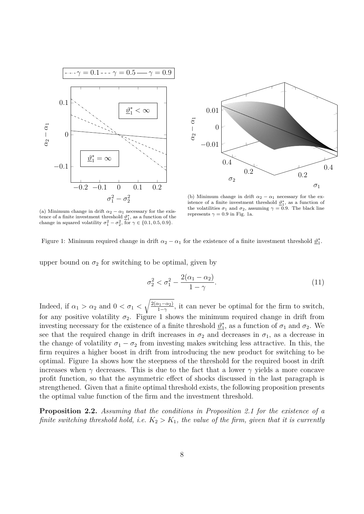



(a) Minimum change in drift  $\alpha_2 - \alpha_1$  necessary for the existence of a finite investment threshold  $\mathcal{D}_1^*$ , as a function of the change in squared volatility  $\sigma_1^2 - \sigma_2^2$ , for  $\gamma \in \{0.1, 0.5, 0.9\}$ .

(b) Minimum change in drift  $\alpha_2 - \alpha_1$  necessary for the existence of a finite investment threshold  $\underline{\vartheta}_1^*$ , as a function of the volatilities  $\sigma_1$  and  $\sigma_2$ , assuming  $\gamma = 0.9$ . The black line represents  $\gamma = 0.9$  in Fig. 1a.

Figure 1: Minimum required change in drift  $\alpha_2 - \alpha_1$  for the existence of a finite investment threshold  $\underline{\vartheta}_1^*$ .

upper bound on  $\sigma_2$  for switching to be optimal, given by

$$
\sigma_2^2 < \sigma_1^2 - \frac{2(\alpha_1 - \alpha_2)}{1 - \gamma}.\tag{11}
$$

Indeed, if  $\alpha_1 > \alpha_2$  and  $0 < \sigma_1 < \sqrt{\frac{2(\alpha_1 - \alpha_2)}{1 - \gamma}}$  $\frac{\lambda_1-\alpha_2}{1-\gamma}$ , it can never be optimal for the firm to switch, for any positive volatility  $\sigma_2$ . Figure 1 shows the minimum required change in drift from investing necessary for the existence of a finite threshold  $\vartheta_1^*$  $i_1^*$ , as a function of  $\sigma_1$  and  $\sigma_2$ . We see that the required change in drift increases in  $\sigma_2$  and decreases in  $\sigma_1$ , as a decrease in the change of volatility  $\sigma_1 - \sigma_2$  from investing makes switching less attractive. In this, the firm requires a higher boost in drift from introducing the new product for switching to be optimal. Figure 1a shows how the steepness of the threshold for the required boost in drift increases when  $\gamma$  decreases. This is due to the fact that a lower  $\gamma$  yields a more concave profit function, so that the asymmetric effect of shocks discussed in the last paragraph is strengthened. Given that a finite optimal threshold exists, the following proposition presents the optimal value function of the firm and the investment threshold.

**Proposition 2.2.** *Assuming that the conditions in Proposition 2.1 for the existence of a finite switching threshold hold, i.e.*  $K_2 > K_1$ *, the value of the firm, given that it is currently*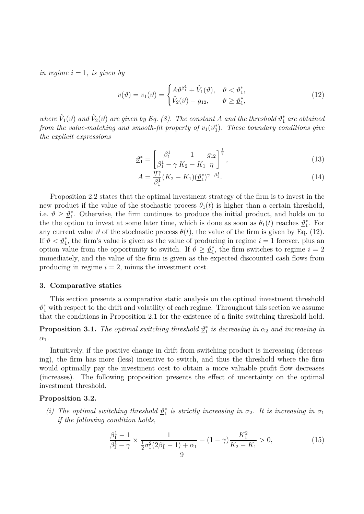*in regime*  $i = 1$ *, is given by* 

$$
v(\vartheta) = v_1(\vartheta) = \begin{cases} A\vartheta^{\beta_1^1} + \hat{V}_1(\vartheta), & \vartheta < \underline{\vartheta}_1^*, \\ \hat{V}_2(\vartheta) - g_{12}, & \vartheta \ge \underline{\vartheta}_1^*, \end{cases}
$$
(12)

*where*  $\hat{V}_1(\vartheta)$  *and*  $\hat{V}_2(\vartheta)$  *are given by Eq.* (8). The constant *A and* the threshold  $\underline{\vartheta}_1^*$  *are obtained from the value-matching and smooth-fit property of*  $v_1(\underline{\vartheta_1^*})$ 1 )*. These boundary conditions give the explicit expressions*

$$
\underline{\vartheta}_1^* = \left[\frac{\beta_1^1}{\beta_1^1 - \gamma} \frac{1}{K_2 - K_1} \frac{g_{12}}{\eta}\right]^{\frac{1}{\gamma}},\tag{13}
$$

$$
A = \frac{\eta \gamma}{\beta_1^1} (K_2 - K_1) (\underline{\vartheta}_1^*)^{\gamma - \beta_1^1}.
$$
\n(14)

Proposition 2.2 states that the optimal investment strategy of the firm is to invest in the new product if the value of the stochastic process  $\theta_1(t)$  is higher than a certain threshold, i.e.  $\vartheta \geq \underline{\vartheta}_1^*$ 1 . Otherwise, the firm continues to produce the initial product, and holds on to the the option to invest at some later time, which is done as soon as  $\theta_1(t)$  reaches  $\mathcal{D}_1^*$  $i<sub>1</sub>$ . For any current value  $\vartheta$  of the stochastic process  $\theta(t)$ , the value of the firm is given by Eq. (12). If  $\vartheta < \underline{\vartheta}_1^*$ , the firm's value is given as the value of producing in regime  $i = 1$  forever, plus an option value from the opportunity to switch. If  $\vartheta \geq \vartheta_1^*$  $i<sub>1</sub>$ , the firm switches to regime  $i = 2$ immediately, and the value of the firm is given as the expected discounted cash flows from producing in regime  $i = 2$ , minus the investment cost.

### **3. Comparative statics**

This section presents a comparative static analysis on the optimal investment threshold  $\underline{\vartheta}_1^*$  with respect to the drift and volatility of each regime. Throughout this section we assume that the conditions in Proposition 2.1 for the existence of a finite switching threshold hold.

**Proposition 3.1.** *The optimal switching threshold*  $\mathbf{p}_1^*$  $i_1^*$  *is decreasing in*  $\alpha_2$  *and increasing in α*1*.*

Intuitively, if the positive change in drift from switching product is increasing (decreasing), the firm has more (less) incentive to switch, and thus the threshold where the firm would optimally pay the investment cost to obtain a more valuable profit flow decreases (increases). The following proposition presents the effect of uncertainty on the optimal investment threshold.

#### **Proposition 3.2.**

*(i) The optimal switching threshold*  $\mathbf{p}_1^*$  $\frac{1}{1}$  *is strictly increasing in*  $\sigma_2$ *. It is increasing in*  $\sigma_1$ *if the following condition holds,*

$$
\frac{\beta_1^1 - 1}{\beta_1^1 - \gamma} \times \frac{1}{\frac{1}{2}\sigma_1^2(2\beta_1^1 - 1) + \alpha_1} - (1 - \gamma)\frac{K_1^2}{K_2 - K_1} > 0,\tag{15}
$$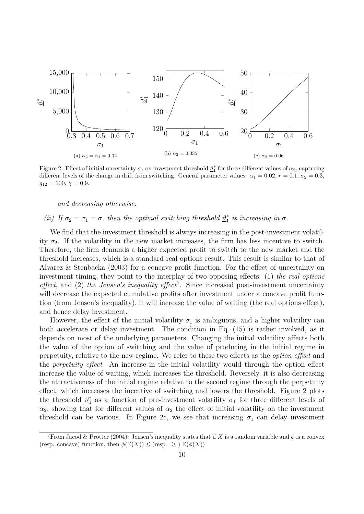

Figure 2: Effect of initial uncertainty  $\sigma_1$  on investment threshold  $\underline{\vartheta}_1^*$  for three different values of  $\alpha_2$ , capturing different levels of the change in drift from switching. General parameter values:  $\alpha_1 = 0.02$ ,  $r = 0.1$ ,  $\sigma_2 = 0.3$ ,  $g_{12} = 100, \gamma = 0.9.$ 

*and decreasing otherwise.*

#### *(ii) If*  $\sigma_2 = \sigma_1 = \sigma$ *, then the optimal switching threshold*  $\theta_1^*$  $i_1^*$  *is increasing in*  $\sigma$ .

We find that the investment threshold is always increasing in the post-investment volatility  $\sigma_2$ . If the volatility in the new market increases, the firm has less incentive to switch. Therefore, the firm demands a higher expected profit to switch to the new market and the threshold increases, which is a standard real options result. This result is similar to that of Alvarez & Stenbacka (2003) for a concave profit function. For the effect of uncertainty on investment timing, they point to the interplay of two opposing effects: (1) *the real options effect*, and (2) *the Jensen's inequality effect*<sup>7</sup> . Since increased post-investment uncertainty will decrease the expected cumulative profits after investment under a concave profit function (from Jensen's inequality), it will increase the value of waiting (the real options effect), and hence delay investment.

However, the effect of the initial volatility  $\sigma_1$  is ambiguous, and a higher volatility can both accelerate or delay investment. The condition in Eq. (15) is rather involved, as it depends on most of the underlying parameters. Changing the initial volatility affects both the value of the option of switching and the value of producing in the initial regime in perpetuity, relative to the new regime. We refer to these two effects as the *option effect* and the *perpetuity effect*. An increase in the initial volatility would through the option effect increase the value of waiting, which increases the threshold. Reversely, it is also decreasing the attractiveness of the initial regime relative to the second regime through the perpetuity effect, which increases the incentive of switching and lowers the threshold. Figure 2 plots the threshold  $\mathcal{D}_1^*$  $_1^*$  as a function of pre-investment volatility  $\sigma_1$  for three different levels of  $\alpha_2$ , showing that for different values of  $\alpha_2$  the effect of initial volatility on the investment threshold can be various. In Figure 2c, we see that increasing  $\sigma_1$  can delay investment

<sup>&</sup>lt;sup>7</sup>From Jacod & Protter (2004): Jensen's inequality states that if X is a random variable and  $\phi$  is a convex (resp. concave) function, then  $\phi(\mathbb{E}(X)) \leq$  (resp.  $\geq$  )  $\mathbb{E}(\phi(X))$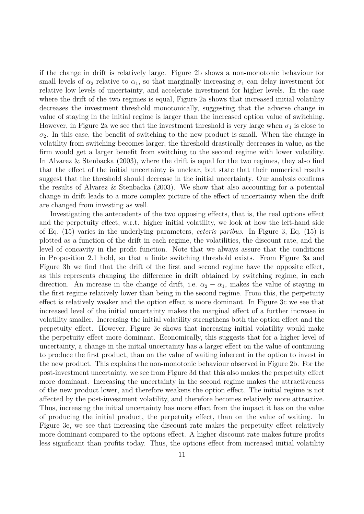if the change in drift is relatively large. Figure 2b shows a non-monotonic behaviour for small levels of  $\alpha_2$  relative to  $\alpha_1$ , so that marginally increasing  $\sigma_1$  can delay investment for relative low levels of uncertainty, and accelerate investment for higher levels. In the case where the drift of the two regimes is equal, Figure 2a shows that increased initial volatility decreases the investment threshold monotonically, suggesting that the adverse change in value of staying in the initial regime is larger than the increased option value of switching. However, in Figure 2a we see that the investment threshold is very large when  $\sigma_1$  is close to  $\sigma_2$ . In this case, the benefit of switching to the new product is small. When the change in volatility from switching becomes larger, the threshold drastically decreases in value, as the firm would get a larger benefit from switching to the second regime with lower volatility. In Alvarez & Stenbacka (2003), where the drift is equal for the two regimes, they also find that the effect of the initial uncertainty is unclear, but state that their numerical results suggest that the threshold should decrease in the initial uncertainty. Our analysis confirms the results of Alvarez & Stenbacka (2003). We show that also accounting for a potential change in drift leads to a more complex picture of the effect of uncertainty when the drift are changed from investing as well.

Investigating the antecedents of the two opposing effects, that is, the real options effect and the perpetuity effect, w.r.t. higher initial volatility, we look at how the left-hand side of Eq. (15) varies in the underlying parameters, *ceteris paribus*. In Figure 3, Eq. (15) is plotted as a function of the drift in each regime, the volatilities, the discount rate, and the level of concavity in the profit function. Note that we always assure that the conditions in Proposition 2.1 hold, so that a finite switching threshold exists. From Figure 3a and Figure 3b we find that the drift of the first and second regime have the opposite effect, as this represents changing the difference in drift obtained by switching regime, in each direction. An increase in the change of drift, i.e.  $\alpha_2 - \alpha_1$ , makes the value of staying in the first regime relatively lower than being in the second regime. From this, the perpetuity effect is relatively weaker and the option effect is more dominant. In Figure 3c we see that increased level of the initial uncertainty makes the marginal effect of a further increase in volatility smaller. Increasing the initial volatility strengthens both the option effect and the perpetuity effect. However, Figure 3c shows that increasing initial volatility would make the perpetuity effect more dominant. Economically, this suggests that for a higher level of uncertainty, a change in the initial uncertainty has a larger effect on the value of continuing to produce the first product, than on the value of waiting inherent in the option to invest in the new product. This explains the non-monotonic behaviour observed in Figure 2b. For the post-investment uncertainty, we see from Figure 3d that this also makes the perpetuity effect more dominant. Increasing the uncertainty in the second regime makes the attractiveness of the new product lower, and therefore weakens the option effect. The initial regime is not affected by the post-investment volatility, and therefore becomes relatively more attractive. Thus, increasing the initial uncertainty has more effect from the impact it has on the value of producing the initial product, the perpetuity effect, than on the value of waiting. In Figure 3e, we see that increasing the discount rate makes the perpetuity effect relatively more dominant compared to the options effect. A higher discount rate makes future profits less significant than profits today. Thus, the options effect from increased initial volatility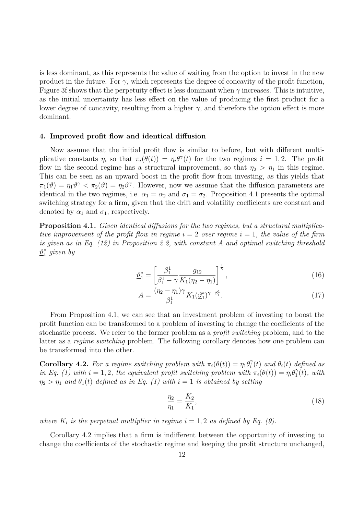is less dominant, as this represents the value of waiting from the option to invest in the new product in the future. For  $\gamma$ , which represents the degree of concavity of the profit function, Figure 3f shows that the perpetuity effect is less dominant when  $\gamma$  increases. This is intuitive, as the initial uncertainty has less effect on the value of producing the first product for a lower degree of concavity, resulting from a higher  $\gamma$ , and therefore the option effect is more dominant.

#### **4. Improved profit flow and identical diffusion**

Now assume that the initial profit flow is similar to before, but with different multiplicative constants  $\eta_i$  so that  $\pi_i(\theta(t)) = \eta_i \theta^\gamma(t)$  for the two regimes  $i = 1, 2$ . The profit flow in the second regime has a structural improvement, so that  $\eta_2 > \eta_1$  in this regime. This can be seen as an upward boost in the profit flow from investing, as this yields that  $\pi_1(\vartheta) = \eta_1 \vartheta^{\gamma} < \pi_2(\vartheta) = \eta_2 \vartheta^{\gamma}$ . However, now we assume that the diffusion parameters are identical in the two regimes, i.e.  $\alpha_1 = \alpha_2$  and  $\sigma_1 = \sigma_2$ . Proposition 4.1 presents the optimal switching strategy for a firm, given that the drift and volatility coefficients are constant and denoted by  $\alpha_1$  and  $\sigma_1$ , respectively.

**Proposition 4.1.** *Given identical diffusions for the two regimes, but a structural multiplicative improvement of the profit flow in regime*  $i = 2$  *over regime*  $i = 1$ *, the value of the firm is given as in Eq. (12) in Proposition 2.2, with constant A and optimal switching threshold ϑ* ∗ 1 *given by*

$$
\underline{\vartheta}_1^* = \left[\frac{\beta_1^1}{\beta_1^1 - \gamma} \frac{g_{12}}{K_1(\eta_2 - \eta_1)}\right]^{\frac{1}{\gamma}},\tag{16}
$$

$$
A = \frac{(\eta_2 - \eta_1)\gamma}{\beta_1^1} K_1(\underline{\vartheta}_1^*)^{\gamma - \beta_1^1}.
$$
 (17)

From Proposition 4.1, we can see that an investment problem of investing to boost the profit function can be transformed to a problem of investing to change the coefficients of the stochastic process. We refer to the former problem as a *profit switching* problem, and to the latter as a *regime switching* problem. The following corollary denotes how one problem can be transformed into the other.

**Corollary 4.2.** For a regime switching problem with  $\pi_i(\theta(t)) = \eta_1 \theta_i^{\gamma}$  $\hat{a}_i^{\gamma}(t)$  *and*  $\theta_i(t)$  *defined as in Eq.* (1) with  $i = 1, 2$ , the equivalent profit switching problem with  $\pi_i(\theta(t)) = \eta_i \theta_1^{\gamma}$  $j_1^{\gamma}(t)$ *, with*  $\eta_2 > \eta_1$  *and*  $\theta_1(t)$  *defined as in Eq.* (1) with  $i = 1$  *is obtained by setting* 

$$
\frac{\eta_2}{\eta_1} = \frac{K_2}{K_1},\tag{18}
$$

*where*  $K_i$  *is the perpetual multiplier in regime*  $i = 1, 2$  *as defined by Eq.* (9).

Corollary 4.2 implies that a firm is indifferent between the opportunity of investing to change the coefficients of the stochastic regime and keeping the profit structure unchanged,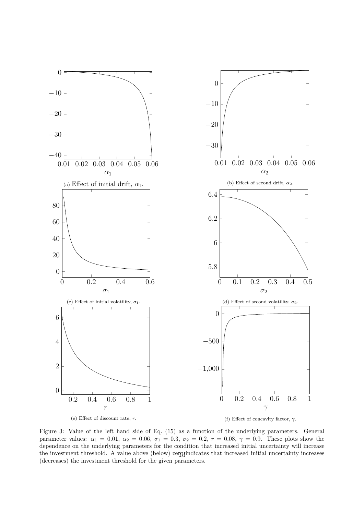

Figure 3: Value of the left hand side of Eq. (15) as a function of the underlying parameters. General parameter values:  $\alpha_1 = 0.01$ ,  $\alpha_2 = 0.06$ ,  $\sigma_1 = 0.3$ ,  $\sigma_2 = 0.2$ ,  $r = 0.08$ ,  $\gamma = 0.9$ . These plots show the dependence on the underlying parameters for the condition that increased initial uncertainty will increase the investment threshold. A value above (below) zergindicates that increased initial uncertainty increases (decreases) the investment threshold for the given parameters.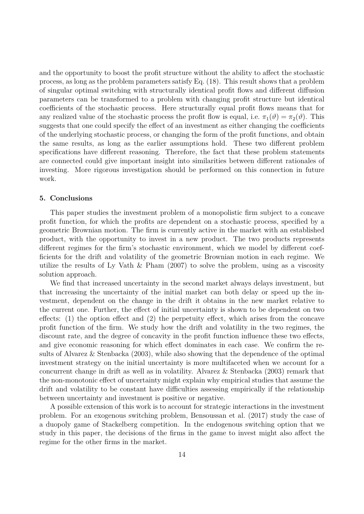and the opportunity to boost the profit structure without the ability to affect the stochastic process, as long as the problem parameters satisfy Eq. (18). This result shows that a problem of singular optimal switching with structurally identical profit flows and different diffusion parameters can be transformed to a problem with changing profit structure but identical coefficients of the stochastic process. Here structurally equal profit flows means that for any realized value of the stochastic process the profit flow is equal, i.e.  $\pi_1(\vartheta) = \pi_2(\vartheta)$ . This suggests that one could specify the effect of an investment as either changing the coefficients of the underlying stochastic process, or changing the form of the profit functions, and obtain the same results, as long as the earlier assumptions hold. These two different problem specifications have different reasoning. Therefore, the fact that these problem statements are connected could give important insight into similarities between different rationales of investing. More rigorous investigation should be performed on this connection in future work.

### **5. Conclusions**

This paper studies the investment problem of a monopolistic firm subject to a concave profit function, for which the profits are dependent on a stochastic process, specified by a geometric Brownian motion. The firm is currently active in the market with an established product, with the opportunity to invest in a new product. The two products represents different regimes for the firm's stochastic environment, which we model by different coefficients for the drift and volatility of the geometric Brownian motion in each regime. We utilize the results of Ly Vath & Pham (2007) to solve the problem, using as a viscosity solution approach.

We find that increased uncertainty in the second market always delays investment, but that increasing the uncertainty of the initial market can both delay or speed up the investment, dependent on the change in the drift it obtains in the new market relative to the current one. Further, the effect of initial uncertainty is shown to be dependent on two effects: (1) the option effect and (2) the perpetuity effect, which arises from the concave profit function of the firm. We study how the drift and volatility in the two regimes, the discount rate, and the degree of concavity in the profit function influence these two effects, and give economic reasoning for which effect dominates in each case. We confirm the results of Alvarez & Stenbacka (2003), while also showing that the dependence of the optimal investment strategy on the initial uncertainty is more multifaceted when we account for a concurrent change in drift as well as in volatility. Alvarez & Stenbacka (2003) remark that the non-monotonic effect of uncertainty might explain why empirical studies that assume the drift and volatility to be constant have difficulties assessing empirically if the relationship between uncertainty and investment is positive or negative.

A possible extension of this work is to account for strategic interactions in the investment problem. For an exogenous switching problem, Bensoussan et al. (2017) study the case of a duopoly game of Stackelberg competition. In the endogenous switching option that we study in this paper, the decisions of the firms in the game to invest might also affect the regime for the other firms in the market.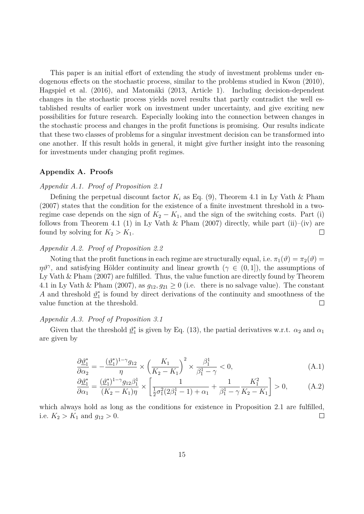This paper is an initial effort of extending the study of investment problems under endogenous effects on the stochastic process, similar to the problems studied in Kwon (2010), Hagspiel et al. (2016), and Matomäki (2013, Article 1). Including decision-dependent changes in the stochastic process yields novel results that partly contradict the well established results of earlier work on investment under uncertainty, and give exciting new possibilities for future research. Especially looking into the connection between changes in the stochastic process and changes in the profit functions is promising. Our results indicate that these two classes of problems for a singular investment decision can be transformed into one another. If this result holds in general, it might give further insight into the reasoning for investments under changing profit regimes.

# **Appendix A. Proofs**

# *Appendix A.1. Proof of Proposition 2.1*

Defining the perpetual discount factor  $K_i$  as Eq. (9), Theorem 4.1 in Ly Vath & Pham (2007) states that the condition for the existence of a finite investment threshold in a tworegime case depends on the sign of  $K_2 - K_1$ , and the sign of the switching costs. Part (i) follows from Theorem 4.1 (1) in Ly Vath & Pham (2007) directly, while part (ii)–(iv) are found by solving for  $K_2 > K_1$ .  $\Box$ 

# *Appendix A.2. Proof of Proposition 2.2*

Noting that the profit functions in each regime are structurally equal, i.e.  $\pi_1(\vartheta) = \pi_2(\vartheta)$  $\eta\vartheta^{\gamma}$ , and satisfying Hölder continuity and linear growth ( $\gamma \in (0,1]$ ), the assumptions of Ly Vath  $\&$  Pham (2007) are fulfilled. Thus, the value function are directly found by Theorem 4.1 in Ly Vath & Pham (2007), as  $g_{12}, g_{21} \ge 0$  (i.e. there is no salvage value). The constant *A* and threshold  $\mathcal{D}_1^*$  $_{1}^{*}$  is found by direct derivations of the continuity and smoothness of the value function at the threshold.  $\Box$ 

# *Appendix A.3. Proof of Proposition 3.1*

Given that the threshold  $\underline{\vartheta}_1^*$ <sup>\*</sup><sub>1</sub> is given by Eq. (13), the partial derivatives w.r.t.  $\alpha_2$  and  $\alpha_1$ are given by

$$
\frac{\partial \underline{\vartheta}_1^*}{\partial \alpha_2} = -\frac{(\underline{\vartheta}_1^*)^{1-\gamma} g_{12}}{\eta} \times \left(\frac{K_1}{K_2 - K_1}\right)^2 \times \frac{\beta_1^1}{\beta_1^1 - \gamma} < 0,
$$
\n(A.1)

$$
\frac{\partial \underline{\vartheta}_1^*}{\partial \alpha_1} = \frac{(\underline{\vartheta}_1^*)^{1-\gamma} g_{12} \beta_1^1}{(K_2 - K_1)\eta} \times \left[ \frac{1}{\frac{1}{2}\sigma_1^2 (2\beta_1^1 - 1) + \alpha_1} + \frac{1}{\beta_1^1 - \gamma} \frac{K_1^2}{K_2 - K_1} \right] > 0, \tag{A.2}
$$

which always hold as long as the conditions for existence in Proposition 2.1 are fulfilled, i.e.  $K_2 > K_1$  and  $g_{12} > 0$ .  $\Box$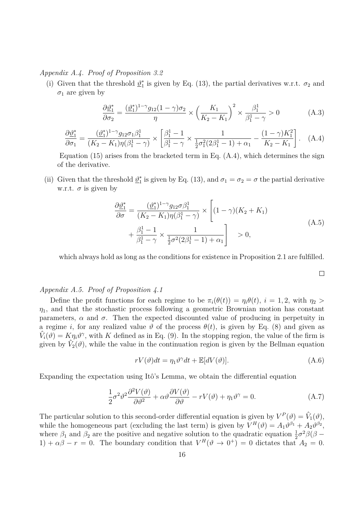*Appendix A.4. Proof of Proposition 3.2*

(i) Given that the threshold  $\mathcal{D}_1^*$  $i_1^*$  is given by Eq. (13), the partial derivatives w.r.t.  $\sigma_2$  and  $\sigma_1$  are given by

$$
\frac{\partial \underline{\vartheta}_1^*}{\partial \sigma_2} = \frac{(\underline{\vartheta}_1^*)^{1-\gamma} g_{12} (1-\gamma) \sigma_2}{\eta} \times \left(\frac{K_1}{K_2 - K_1}\right)^2 \times \frac{\beta_1^1}{\beta_1^1 - \gamma} > 0 \tag{A.3}
$$

$$
\frac{\partial \underline{\vartheta}_1^*}{\partial \sigma_1} = \frac{(\underline{\vartheta}_1^*)^{1-\gamma} g_{12} \sigma_1 \beta_1^1}{(K_2 - K_1) \eta (\beta_1^1 - \gamma)} \times \left[ \frac{\beta_1^1 - 1}{\beta_1^1 - \gamma} \times \frac{1}{\frac{1}{2} \sigma_1^2 (2\beta_1^1 - 1) + \alpha_1} - \frac{(1 - \gamma) K_1^2}{K_2 - K_1} \right]. \tag{A.4}
$$

Equation (15) arises from the bracketed term in Eq.  $(A.4)$ , which determines the sign of the derivative.

(ii) Given that the threshold  $\mathcal{D}_1^*$ <sup>\*</sup><sub>1</sub> is given by Eq. (13), and  $\sigma_1 = \sigma_2 = \sigma$  the partial derivative w.r.t.  $\sigma$  is given by

$$
\frac{\partial \underline{\vartheta}_1^*}{\partial \sigma} = \frac{(\underline{\vartheta}_1^*)^{1-\gamma} g_{12} \sigma \beta_1^1}{(K_2 - K_1) \eta(\beta_1^1 - \gamma)} \times \left[ (1 - \gamma)(K_2 + K_1) + \frac{\beta_1^1 - 1}{\beta_1^1 - \gamma} \times \frac{1}{\frac{1}{2} \sigma^2 (2\beta_1^1 - 1) + \alpha_1} \right] > 0,
$$
\n(A.5)

which always hold as long as the conditions for existence in Proposition 2.1 are fulfilled.

 $\Box$ 

# *Appendix A.5. Proof of Proposition 4.1*

Define the profit functions for each regime to be  $\pi_i(\theta(t)) = \eta_i(\theta(t))$ ,  $i = 1, 2$ , with  $\eta_2 >$  $\eta_1$ , and that the stochastic process following a geometric Brownian motion has constant parameters,  $\alpha$  and  $\sigma$ . Then the expected discounted value of producing in perpetuity in a regime *i*, for any realized value  $\vartheta$  of the process  $\theta(t)$ , is given by Eq. (8) and given as  $\hat{V}_i(\vartheta) = K \eta_i \vartheta^\gamma$ , with *K* defined as in Eq. (9). In the stopping region, the value of the firm is given by  $\hat{V}_2(\vartheta)$ , while the value in the continuation region is given by the Bellman equation

$$
rV(\vartheta)dt = \eta_1 \vartheta^{\gamma} dt + \mathbb{E}[dV(\vartheta)].
$$
\n(A.6)

Expanding the expectation using Itô's Lemma, we obtain the differential equation

$$
\frac{1}{2}\sigma^2\vartheta^2\frac{\partial^2 V(\vartheta)}{\partial\vartheta^2} + \alpha\vartheta\frac{\partial V(\vartheta)}{\partial\vartheta} - rV(\vartheta) + \eta_1\vartheta^\gamma = 0.
$$
 (A.7)

The particular solution to this second-order differential equation is given by  $V^P(\vartheta) = \hat{V}_1(\vartheta)$ , while the homogeneous part (excluding the last term) is given by  $V^H(\vartheta) = A_1 \vartheta^{\beta_1} + A_2 \vartheta^{\beta_2}$ , where  $\beta_1$  and  $\beta_2$  are the positive and negative solution to the quadratic equation  $\frac{1}{2}\sigma^2\beta(\beta -$ 1) +  $\alpha\beta - r = 0$ . The boundary condition that  $V^H(\vartheta \to 0^+) = 0$  dictates that  $A_2 = 0$ .